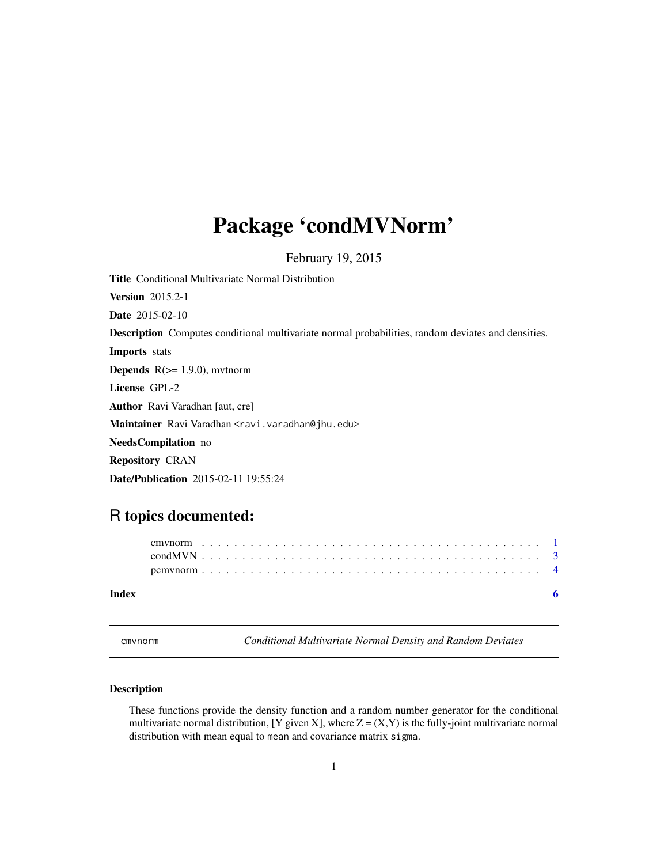## <span id="page-0-0"></span>Package 'condMVNorm'

February 19, 2015

<span id="page-0-1"></span>Title Conditional Multivariate Normal Distribution Version 2015.2-1 Date 2015-02-10 Description Computes conditional multivariate normal probabilities, random deviates and densities. Imports stats **Depends**  $R$ ( $> = 1.9.0$ ), mytnorm License GPL-2 Author Ravi Varadhan [aut, cre] Maintainer Ravi Varadhan <ravi.varadhan@jhu.edu> NeedsCompilation no Repository CRAN Date/Publication 2015-02-11 19:55:24

### R topics documented:

| Index |  |  |  |  |  |  |  |  |  |  |  |  |  |  |  |  |  |  |  |  | - 6 |  |
|-------|--|--|--|--|--|--|--|--|--|--|--|--|--|--|--|--|--|--|--|--|-----|--|
|       |  |  |  |  |  |  |  |  |  |  |  |  |  |  |  |  |  |  |  |  |     |  |
|       |  |  |  |  |  |  |  |  |  |  |  |  |  |  |  |  |  |  |  |  |     |  |
|       |  |  |  |  |  |  |  |  |  |  |  |  |  |  |  |  |  |  |  |  |     |  |

cmvnorm *Conditional Multivariate Normal Density and Random Deviates*

#### <span id="page-0-2"></span>Description

These functions provide the density function and a random number generator for the conditional multivariate normal distribution, [Y given X], where  $Z = (X, Y)$  is the fully-joint multivariate normal distribution with mean equal to mean and covariance matrix sigma.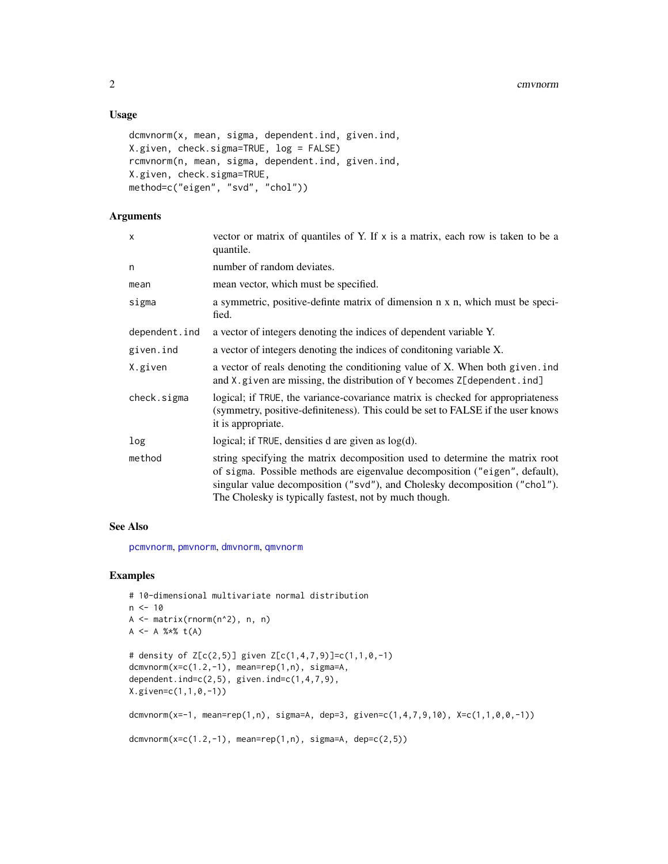#### <span id="page-1-0"></span>Usage

```
dcmvnorm(x, mean, sigma, dependent.ind, given.ind,
X.given, check.sigma=TRUE, log = FALSE)
rcmvnorm(n, mean, sigma, dependent.ind, given.ind,
X.given, check.sigma=TRUE,
method=c("eigen", "svd", "chol"))
```
### Arguments

| X             | vector or matrix of quantiles of Y. If $x$ is a matrix, each row is taken to be a<br>quantile.                                                                                                                                                                                                      |
|---------------|-----------------------------------------------------------------------------------------------------------------------------------------------------------------------------------------------------------------------------------------------------------------------------------------------------|
| n             | number of random deviates.                                                                                                                                                                                                                                                                          |
| mean          | mean vector, which must be specified.                                                                                                                                                                                                                                                               |
| sigma         | a symmetric, positive-definte matrix of dimension n x n, which must be speci-<br>fied.                                                                                                                                                                                                              |
| dependent.ind | a vector of integers denoting the indices of dependent variable Y.                                                                                                                                                                                                                                  |
| given.ind     | a vector of integers denoting the indices of conditioning variable X.                                                                                                                                                                                                                               |
| X.given       | a vector of reals denoting the conditioning value of X. When both given. ind<br>and X.given are missing, the distribution of Y becomes Z[dependent.ind]                                                                                                                                             |
| check.sigma   | logical; if TRUE, the variance-covariance matrix is checked for appropriateness<br>(symmetry, positive-definiteness). This could be set to FALSE if the user knows<br>it is appropriate.                                                                                                            |
| log           | logical; if TRUE, densities d are given as $log(d)$ .                                                                                                                                                                                                                                               |
| method        | string specifying the matrix decomposition used to determine the matrix root<br>of sigma. Possible methods are eigenvalue decomposition ("eigen", default),<br>singular value decomposition ("svd"), and Cholesky decomposition ("chol").<br>The Cholesky is typically fastest, not by much though. |

#### See Also

[pcmvnorm](#page-3-1), [pmvnorm](#page-0-1), [dmvnorm](#page-0-1), [qmvnorm](#page-0-1)

#### Examples

```
# 10-dimensional multivariate normal distribution
n < -10A <- matrix(rnorm(n^2), n, n)
A <- A %*% t(A)
# density of Z[c(2,5)] given Z[c(1,4,7,9)]=c(1,1,0,-1)
dcmvnorm(x=c(1.2,-1)), mean=rep(1,n), sigma=A,
dependent.ind=c(2,5), given.ind=c(1,4,7,9),
X.given=c(1,1,0,-1))
dcmvnorm(x=-1, mean=rep(1,n), sigma=A, dep=3, given=c(1,4,7,9,10), X=c(1,1,0,0,-1))
dcmvnorm(x=c(1.2,-1), mean=rep(1,n), sigma=A, dep=c(2,5))
```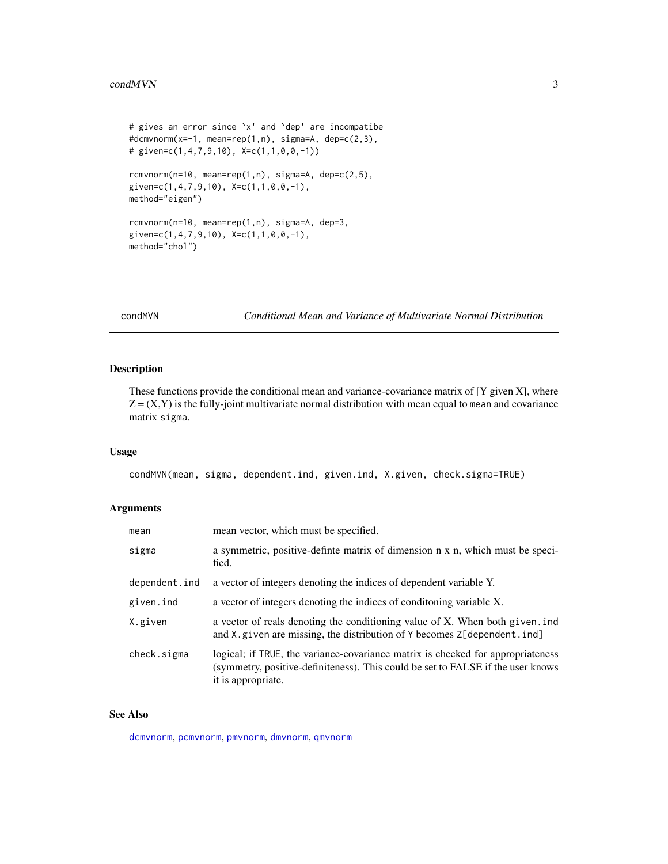```
# gives an error since `x' and `dep' are incompatibe
#dcmvnorm(x=-1, mean=rep(1,n), sigma=A, dep=c(2,3),
# given=c(1,4,7,9,10), X=c(1,1,0,0,-1))
rcmvnorm(n=10, mean=rep(1,n), sigma=A, dep=c(2,5),
given=c(1,4,7,9,10), X=c(1,1,0,0,-1),
method="eigen")
rcmvnorm(n=10, mean=rep(1,n), sigma=A, dep=3,
given=c(1,4,7,9,10), X=c(1,1,0,0,-1),
method="chol")
```
condMVN *Conditional Mean and Variance of Multivariate Normal Distribution*

#### Description

These functions provide the conditional mean and variance-covariance matrix of  $[Y]$  given  $X$ ], where  $Z = (X, Y)$  is the fully-joint multivariate normal distribution with mean equal to mean and covariance matrix sigma.

#### Usage

condMVN(mean, sigma, dependent.ind, given.ind, X.given, check.sigma=TRUE)

#### Arguments

| mean vector, which must be specified.                                                                                                                                                    |
|------------------------------------------------------------------------------------------------------------------------------------------------------------------------------------------|
| a symmetric, positive-definite matrix of dimension n x n, which must be speci-<br>fied.                                                                                                  |
| a vector of integers denoting the indices of dependent variable Y.                                                                                                                       |
| a vector of integers denoting the indices of conditioning variable X.                                                                                                                    |
| a vector of reals denoting the conditioning value of X. When both given. ind<br>and X. given are missing, the distribution of Y becomes Z[dependent.ind]                                 |
| logical; if TRUE, the variance-covariance matrix is checked for appropriateness<br>(symmetry, positive-definiteness). This could be set to FALSE if the user knows<br>it is appropriate. |
|                                                                                                                                                                                          |

#### See Also

[dcmvnorm](#page-0-2), [pcmvnorm](#page-3-1), [pmvnorm](#page-0-1), [dmvnorm](#page-0-1), [qmvnorm](#page-0-1)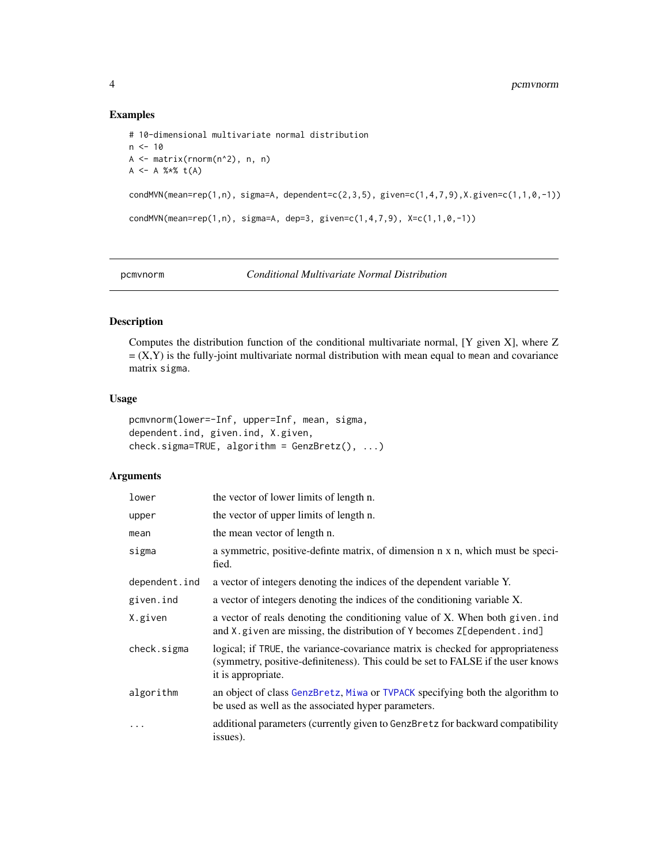#### Examples

```
# 10-dimensional multivariate normal distribution
n < -10A <- matrix(rnorm(n^2), n, n)
A \leq -A %*% t(A)condMVN(mean=rep(1,n), sigma=A, dependent=c(2,3,5), given=c(1,4,7,9),X.given=c(1,1,0,-1))condMVN(mean=rep(1,n), sigma=A, dep=3, given=c(1,4,7,9), X=c(1,1,0,-1))
```
<span id="page-3-1"></span>

```
pcmvnorm Conditional Multivariate Normal Distribution
```
#### Description

Computes the distribution function of the conditional multivariate normal, [Y given X], where Z  $=$   $(X,Y)$  is the fully-joint multivariate normal distribution with mean equal to mean and covariance matrix sigma.

#### Usage

```
pcmvnorm(lower=-Inf, upper=Inf, mean, sigma,
dependent.ind, given.ind, X.given,
check.\sigmasigma=TRUE, algorithm = GenzBretz(), ...)
```
#### Arguments

| lower         | the vector of lower limits of length n.                                                                                                                                                  |
|---------------|------------------------------------------------------------------------------------------------------------------------------------------------------------------------------------------|
| upper         | the vector of upper limits of length n.                                                                                                                                                  |
| mean          | the mean vector of length n.                                                                                                                                                             |
| sigma         | a symmetric, positive-definte matrix, of dimension n x n, which must be speci-<br>fied.                                                                                                  |
| dependent.ind | a vector of integers denoting the indices of the dependent variable Y.                                                                                                                   |
| given.ind     | a vector of integers denoting the indices of the conditioning variable X.                                                                                                                |
| X.given       | a vector of reals denoting the conditioning value of X. When both given ind<br>and X.given are missing, the distribution of Y becomes Z[dependent.ind]                                   |
| check.sigma   | logical; if TRUE, the variance-covariance matrix is checked for appropriateness<br>(symmetry, positive-definiteness). This could be set to FALSE if the user knows<br>it is appropriate. |
| algorithm     | an object of class GenzBretz, Miwa or TVPACK specifying both the algorithm to<br>be used as well as the associated hyper parameters.                                                     |
| $\ddots$      | additional parameters (currently given to GenzBretz for backward compatibility<br>issues).                                                                                               |

<span id="page-3-0"></span>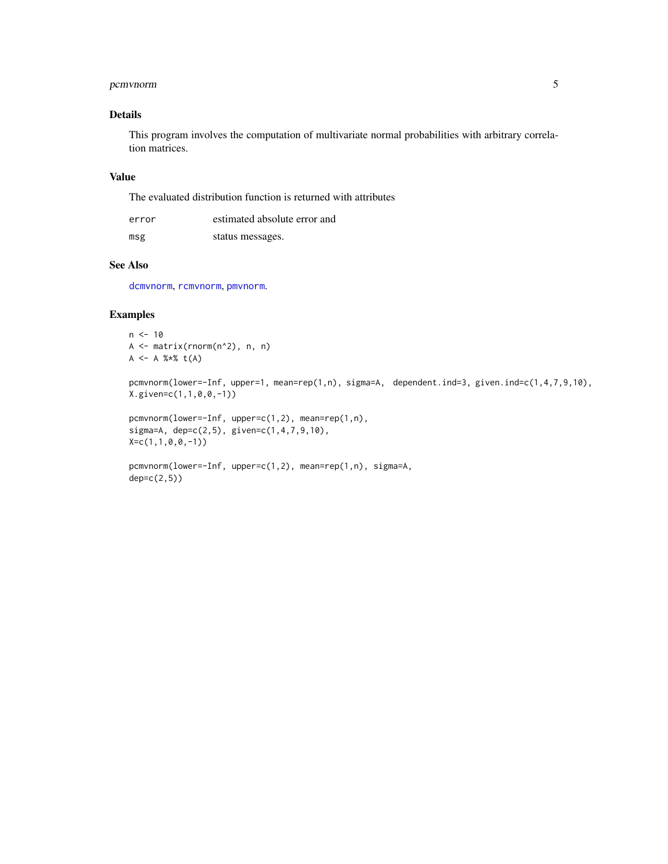#### <span id="page-4-0"></span>pcmvnorm 5

#### Details

This program involves the computation of multivariate normal probabilities with arbitrary correlation matrices.

#### Value

The evaluated distribution function is returned with attributes

| error | estimated absolute error and |
|-------|------------------------------|
| msg   | status messages.             |

#### See Also

[dcmvnorm](#page-0-2), [rcmvnorm](#page-0-2), [pmvnorm](#page-0-1).

#### Examples

 $n < -10$ A <- matrix(rnorm(n^2), n, n)  $A \leq -A$  %\*%  $t(A)$ 

pcmvnorm(lower=-Inf, upper=1, mean=rep(1,n), sigma=A, dependent.ind=3, given.ind=c(1,4,7,9,10), X.given=c(1,1,0,0,-1))

```
pcmvnorm(lower=-Inf, upper=c(1,2), mean=rep(1,n),
sigma=A, dep=c(2,5), given=c(1,4,7,9,10),
X=c(1,1,0,0,-1))
```

```
pcmvnorm(lower=-Inf, upper=c(1,2), mean=rep(1,n), sigma=A,
dep=c(2,5))
```